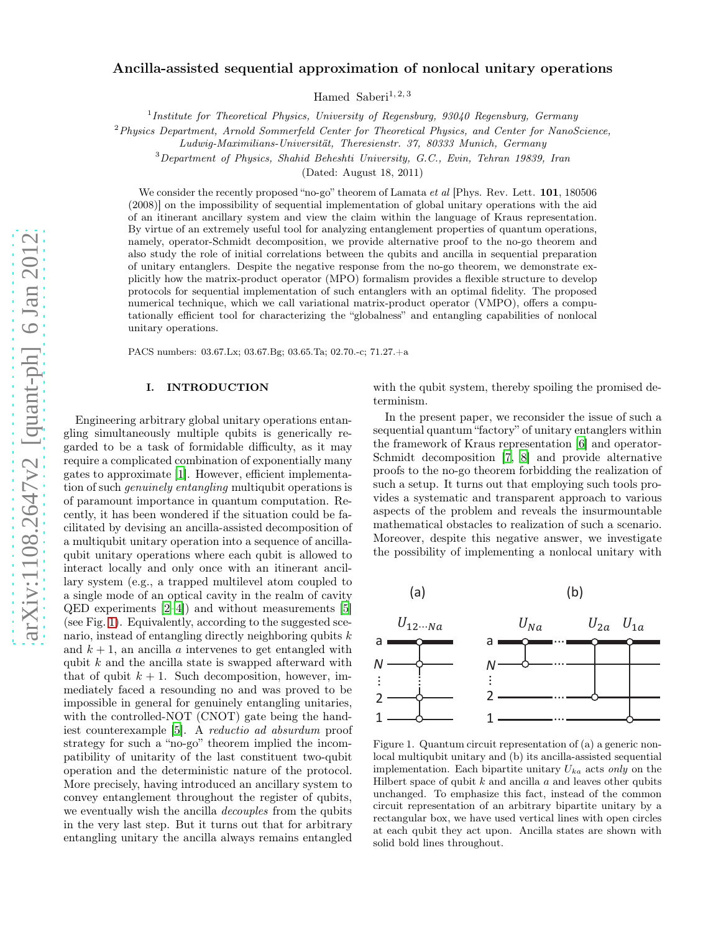# Ancilla-assisted sequential approximation of nonlocal unitary operations

Hamed Saberi<sup>1, 2, 3</sup>

<sup>1</sup>Institute for Theoretical Physics, University of Regensburg, 93040 Regensburg, Germany

 $2$ Physics Department, Arnold Sommerfeld Center for Theoretical Physics, and Center for NanoScience,

Ludwig-Maximilians-Universität, Theresienstr. 37, 80333 Munich, Germany

<sup>3</sup>Department of Physics, Shahid Beheshti University, G.C., Evin, Tehran 19839, Iran

(Dated: August 18, 2011)

We consider the recently proposed "no-go" theorem of Lamata  $et$  al [Phys. Rev. Lett.  $101$ , 180506 (2008)] on the impossibility of sequential implementation of global unitary operations with the aid of an itinerant ancillary system and view the claim within the language of Kraus representation. By virtue of an extremely useful tool for analyzing entanglement properties of quantum operations, namely, operator-Schmidt decomposition, we provide alternative proof to the no-go theorem and also study the role of initial correlations between the qubits and ancilla in sequential preparation of unitary entanglers. Despite the negative response from the no-go theorem, we demonstrate explicitly how the matrix-product operator (MPO) formalism provides a flexible structure to develop protocols for sequential implementation of such entanglers with an optimal fidelity. The proposed numerical technique, which we call variational matrix-product operator (VMPO), offers a computationally efficient tool for characterizing the "globalness" and entangling capabilities of nonlocal unitary operations.

PACS numbers: 03.67.Lx; 03.67.Bg; 03.65.Ta; 02.70.-c; 71.27.+a

## I. INTRODUCTION

Engineering arbitrary global unitary operations entangling simultaneously multiple qubits is generically regarded to be a task of formidable difficulty, as it may require a complicated combination of exponentially many gates to approximate [\[1](#page-4-0)]. However, efficient implementation of such genuinely entangling multiqubit operations is of paramount importance in quantum computation. Recently, it has been wondered if the situation could be facilitated by devising an ancilla-assisted decomposition of a multiqubit unitary operation into a sequence of ancillaqubit unitary operations where each qubit is allowed to interact locally and only once with an itinerant ancillary system (e.g., a trapped multilevel atom coupled to a single mode of an optical cavity in the realm of cavity QED experiments [\[2](#page-5-0)[–4\]](#page-5-1)) and without measurements [\[5](#page-5-2)] (see Fig. [1\)](#page-0-0). Equivalently, according to the suggested scenario, instead of entangling directly neighboring qubits  $k$ and  $k + 1$ , an ancilla a intervenes to get entangled with qubit  $k$  and the ancilla state is swapped afterward with that of qubit  $k + 1$ . Such decomposition, however, immediately faced a resounding no and was proved to be impossible in general for genuinely entangling unitaries, with the controlled-NOT (CNOT) gate being the handiest counterexample [\[5](#page-5-2)]. A reductio ad absurdum proof strategy for such a "no-go" theorem implied the incompatibility of unitarity of the last constituent two-qubit operation and the deterministic nature of the protocol. More precisely, having introduced an ancillary system to convey entanglement throughout the register of qubits, we eventually wish the ancilla decouples from the qubits in the very last step. But it turns out that for arbitrary entangling unitary the ancilla always remains entangled

with the qubit system, thereby spoiling the promised determinism.

In the present paper, we reconsider the issue of such a sequential quantum "factory" of unitary entanglers within the framework of Kraus representation [\[6\]](#page-5-3) and operator-Schmidt decomposition [\[7](#page-5-4), [8\]](#page-5-5) and provide alternative proofs to the no-go theorem forbidding the realization of such a setup. It turns out that employing such tools provides a systematic and transparent approach to various aspects of the problem and reveals the insurmountable mathematical obstacles to realization of such a scenario. Moreover, despite this negative answer, we investigate the possibility of implementing a nonlocal unitary with



<span id="page-0-0"></span>Figure 1. Quantum circuit representation of (a) a generic nonlocal multiqubit unitary and (b) its ancilla-assisted sequential implementation. Each bipartite unitary  $U_{ka}$  acts only on the Hilbert space of qubit  $k$  and ancilla  $a$  and leaves other qubits unchanged. To emphasize this fact, instead of the common circuit representation of an arbitrary bipartite unitary by a rectangular box, we have used vertical lines with open circles at each qubit they act upon. Ancilla states are shown with solid bold lines throughout.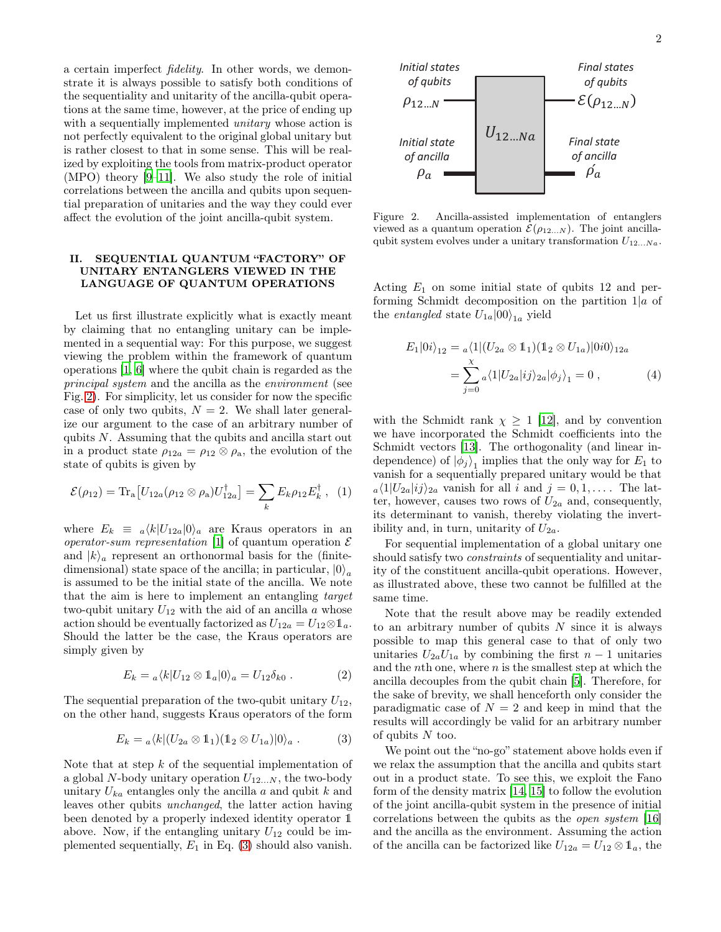a certain imperfect fidelity. In other words, we demonstrate it is always possible to satisfy both conditions of the sequentiality and unitarity of the ancilla-qubit operations at the same time, however, at the price of ending up with a sequentially implemented *unitary* whose action is not perfectly equivalent to the original global unitary but is rather closest to that in some sense. This will be realized by exploiting the tools from matrix-product operator (MPO) theory [\[9](#page-5-6)[–11](#page-5-7)]. We also study the role of initial correlations between the ancilla and qubits upon sequential preparation of unitaries and the way they could ever affect the evolution of the joint ancilla-qubit system.

### II. SEQUENTIAL QUANTUM "FACTORY" OF UNITARY ENTANGLERS VIEWED IN THE LANGUAGE OF QUANTUM OPERATIONS

Let us first illustrate explicitly what is exactly meant by claiming that no entangling unitary can be implemented in a sequential way: For this purpose, we suggest viewing the problem within the framework of quantum operations [\[1,](#page-4-0) [6\]](#page-5-3) where the qubit chain is regarded as the principal system and the ancilla as the environment (see Fig. [2\)](#page-1-0). For simplicity, let us consider for now the specific case of only two qubits,  $N = 2$ . We shall later generalize our argument to the case of an arbitrary number of qubits N. Assuming that the qubits and ancilla start out in a product state  $\rho_{12a} = \rho_{12} \otimes \rho_a$ , the evolution of the state of qubits is given by

$$
\mathcal{E}(\rho_{12}) = \text{Tr}_{\text{a}} \big[ U_{12a} (\rho_{12} \otimes \rho_{\text{a}}) U_{12a}^{\dagger} \big] = \sum_{k} E_{k} \rho_{12} E_{k}^{\dagger} , \quad (1)
$$

where  $E_k \equiv a \langle k | U_{12a} | 0 \rangle_a$  are Kraus operators in an *operator-sum representation* [\[1\]](#page-4-0) of quantum operation  $\mathcal{E}$ and  $|k\rangle_a$  represent an orthonormal basis for the (finitedimensional) state space of the ancilla; in particular,  $|0\rangle_a$ is assumed to be the initial state of the ancilla. We note that the aim is here to implement an entangling target two-qubit unitary  $U_{12}$  with the aid of an ancilla a whose action should be eventually factorized as  $U_{12a} = U_{12} \otimes \mathbb{1}_a$ . Should the latter be the case, the Kraus operators are simply given by

$$
E_k = {}_a \langle k | U_{12} \otimes \mathbb{1}_a | 0 \rangle_a = U_{12} \delta_{k0} . \tag{2}
$$

The sequential preparation of the two-qubit unitary  $U_{12}$ , on the other hand, suggests Kraus operators of the form

<span id="page-1-1"></span>
$$
E_k = {}_a \langle k | (U_{2a} \otimes 1_1) (1_2 \otimes U_{1a}) | 0 \rangle_a . \tag{3}
$$

Note that at step  $k$  of the sequential implementation of a global N-body unitary operation  $U_{12...N}$ , the two-body unitary  $U_{ka}$  entangles only the ancilla a and qubit k and leaves other qubits unchanged, the latter action having been denoted by a properly indexed identity operator 1 above. Now, if the entangling unitary  $U_{12}$  could be implemented sequentially,  $E_1$  in Eq. [\(3\)](#page-1-1) should also vanish.



<span id="page-1-0"></span>Figure 2. Ancilla-assisted implementation of entanglers viewed as a quantum operation  $\mathcal{E}(\rho_{12...N})$ . The joint ancillaqubit system evolves under a unitary transformation  $U_{12...Na}$ .

Acting  $E_1$  on some initial state of qubits 12 and performing Schmidt decomposition on the partition  $1|a$  of the *entangled* state  $U_{1a}|00\rangle_{1a}$  yield

<span id="page-1-2"></span>
$$
E_1|0i\rangle_{12} = \alpha \langle 1|(U_{2a} \otimes 1_1)(1_2 \otimes U_{1a})|0i0\rangle_{12a}
$$
  
= 
$$
\sum_{j=0}^{\chi} \alpha \langle 1|U_{2a}|ij\rangle_{2a}|\phi_j\rangle_1 = 0 , \qquad (4)
$$

with the Schmidt rank  $\chi \geq 1$  [\[12\]](#page-5-8), and by convention we have incorporated the Schmidt coefficients into the Schmidt vectors [\[13\]](#page-5-9). The orthogonality (and linear independence) of  $|\phi_j\rangle_1$  implies that the only way for  $E_1$  to vanish for a sequentially prepared unitary would be that  $a\langle 1|U_{2a}|ij\rangle_{2a}$  vanish for all i and  $j = 0, 1, \ldots$ . The latter, however, causes two rows of  $U_{2a}$  and, consequently, its determinant to vanish, thereby violating the invertibility and, in turn, unitarity of  $U_{2a}$ .

For sequential implementation of a global unitary one should satisfy two *constraints* of sequentiality and unitarity of the constituent ancilla-qubit operations. However, as illustrated above, these two cannot be fulfilled at the same time.

Note that the result above may be readily extended to an arbitrary number of qubits  $N$  since it is always possible to map this general case to that of only two unitaries  $U_{2a}U_{1a}$  by combining the first  $n-1$  unitaries and the *n*th one, where  $n$  is the smallest step at which the ancilla decouples from the qubit chain [\[5\]](#page-5-2). Therefore, for the sake of brevity, we shall henceforth only consider the paradigmatic case of  $N = 2$  and keep in mind that the results will accordingly be valid for an arbitrary number of qubits  $N$  too.

We point out the "no-go" statement above holds even if we relax the assumption that the ancilla and qubits start out in a product state. To see this, we exploit the Fano form of the density matrix [\[14](#page-5-10), [15\]](#page-5-11) to follow the evolution of the joint ancilla-qubit system in the presence of initial correlations between the qubits as the open system [\[16](#page-5-12)] and the ancilla as the environment. Assuming the action of the ancilla can be factorized like  $U_{12a} = U_{12} \otimes \mathbb{1}_a$ , the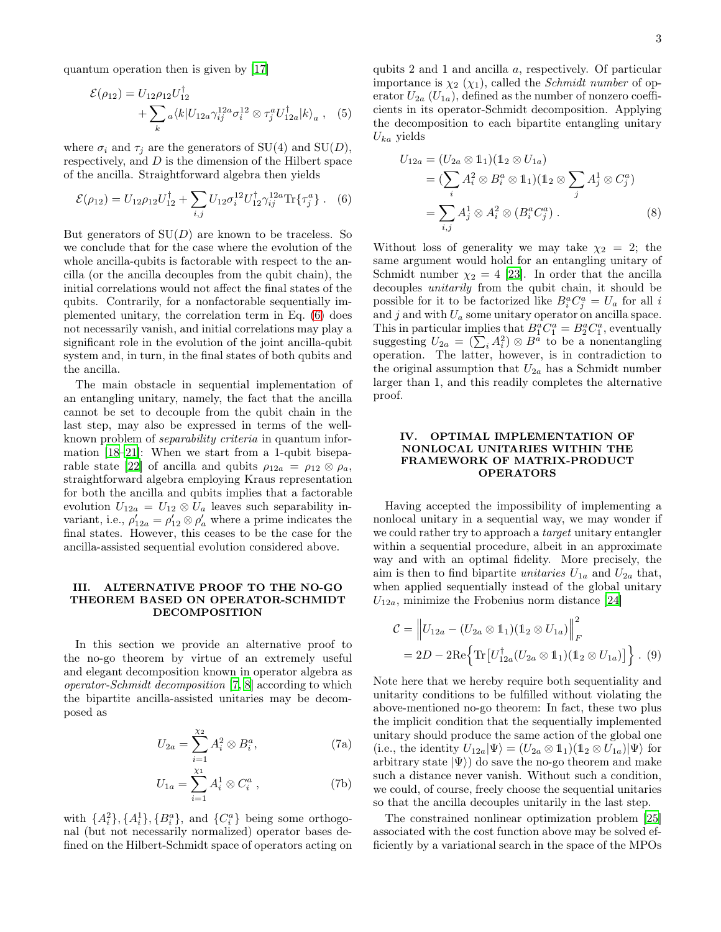quantum operation then is given by [\[17\]](#page-5-13)

$$
\mathcal{E}(\rho_{12}) = U_{12}\rho_{12}U_{12}^{\dagger} + \sum_{k} a \langle k | U_{12} \gamma_{ij}^{12} \sigma_{i}^{12} \otimes \tau_{j}^{a} U_{12}^{\dagger} | k \rangle_{a} , \quad (5)
$$

where  $\sigma_i$  and  $\tau_j$  are the generators of SU(4) and SU(D), respectively, and  $D$  is the dimension of the Hilbert space of the ancilla. Straightforward algebra then yields

<span id="page-2-0"></span>
$$
\mathcal{E}(\rho_{12}) = U_{12}\rho_{12}U_{12}^{\dagger} + \sum_{i,j} U_{12}\sigma_i^{12}U_{12}^{\dagger}\gamma_{ij}^{12a}\text{Tr}\{\tau_j^a\} .
$$
 (6)

But generators of  $SU(D)$  are known to be traceless. So we conclude that for the case where the evolution of the whole ancilla-qubits is factorable with respect to the ancilla (or the ancilla decouples from the qubit chain), the initial correlations would not affect the final states of the qubits. Contrarily, for a nonfactorable sequentially implemented unitary, the correlation term in Eq. [\(6\)](#page-2-0) does not necessarily vanish, and initial correlations may play a significant role in the evolution of the joint ancilla-qubit system and, in turn, in the final states of both qubits and the ancilla.

The main obstacle in sequential implementation of an entangling unitary, namely, the fact that the ancilla cannot be set to decouple from the qubit chain in the last step, may also be expressed in terms of the wellknown problem of separability criteria in quantum information [\[18](#page-5-14)[–21\]](#page-5-15): When we start from a 1-qubit bisepa-rable state [\[22\]](#page-5-16) of ancilla and qubits  $\rho_{12a} = \rho_{12} \otimes \rho_a$ , straightforward algebra employing Kraus representation for both the ancilla and qubits implies that a factorable evolution  $U_{12a} = U_{12} \otimes U_a$  leaves such separability invariant, i.e.,  $\rho'_{12a} = \rho'_{12} \otimes \rho'_{a}$  where a prime indicates the final states. However, this ceases to be the case for the ancilla-assisted sequential evolution considered above.

### III. ALTERNATIVE PROOF TO THE NO-GO THEOREM BASED ON OPERATOR-SCHMIDT DECOMPOSITION

In this section we provide an alternative proof to the no-go theorem by virtue of an extremely useful and elegant decomposition known in operator algebra as operator-Schmidt decomposition [\[7,](#page-5-4) [8\]](#page-5-5) according to which the bipartite ancilla-assisted unitaries may be decomposed as

$$
U_{2a} = \sum_{i=1}^{\chi_2} A_i^2 \otimes B_i^a, \qquad (7a)
$$

$$
U_{1a} = \sum_{i=1}^{\chi_1} A_i^1 \otimes C_i^a , \qquad (7b)
$$

with  $\{A_i^2\}, \{A_i^1\}, \{B_i^a\},\$  and  $\{C_i^a\}$  being some orthogonal (but not necessarily normalized) operator bases defined on the Hilbert-Schmidt space of operators acting on qubits 2 and 1 and ancilla a, respectively. Of particular importance is  $\chi_2$  ( $\chi_1$ ), called the *Schmidt number* of operator  $U_{2a}$  ( $U_{1a}$ ), defined as the number of nonzero coefficients in its operator-Schmidt decomposition. Applying the decomposition to each bipartite entangling unitary  $U_{ka}$  yields

$$
U_{12a} = (U_{2a} \otimes 1_1)(1_2 \otimes U_{1a})
$$
  
= 
$$
(\sum_i A_i^2 \otimes B_i^a \otimes 1_1)(1_2 \otimes \sum_j A_j^1 \otimes C_j^a)
$$
  
= 
$$
\sum_{i,j} A_j^1 \otimes A_i^2 \otimes (B_i^a C_j^a).
$$
 (8)

Without loss of generality we may take  $\chi_2 = 2$ ; the same argument would hold for an entangling unitary of Schmidt number  $\chi_2 = 4$  [\[23\]](#page-5-17). In order that the ancilla decouples unitarily from the qubit chain, it should be possible for it to be factorized like  $B_i^a C_j^a = U_a$  for all i and  $j$  and with  $U_a$  some unitary operator on ancilla space. This in particular implies that  $B_1^a C_1^a = B_2^a C_1^a$ , eventually suggesting  $U_{2a} = (\sum_i A_i^2) \otimes B^{\overline{a}}$  to be a nonentangling operation. The latter, however, is in contradiction to the original assumption that  $U_{2a}$  has a Schmidt number larger than 1, and this readily completes the alternative proof.

#### IV. OPTIMAL IMPLEMENTATION OF NONLOCAL UNITARIES WITHIN THE FRAMEWORK OF MATRIX-PRODUCT OPERATORS

Having accepted the impossibility of implementing a nonlocal unitary in a sequential way, we may wonder if we could rather try to approach a target unitary entangler within a sequential procedure, albeit in an approximate way and with an optimal fidelity. More precisely, the aim is then to find bipartite *unitaries*  $U_{1a}$  and  $U_{2a}$  that, when applied sequentially instead of the global unitary  $U_{12a}$ , minimize the Frobenius norm distance [\[24\]](#page-5-18)

<span id="page-2-1"></span>
$$
\mathcal{C} = ||U_{12a} - (U_{2a} \otimes \mathbb{1}_1)(\mathbb{1}_2 \otimes U_{1a})||_F^2
$$
  
= 2D - 2Re {Tr[U\_{12a}^{\dagger}(U\_{2a} \otimes \mathbb{1}\_1)(\mathbb{1}\_2 \otimes U\_{1a})]} \cdot (9)

Note here that we hereby require both sequentiality and unitarity conditions to be fulfilled without violating the above-mentioned no-go theorem: In fact, these two plus the implicit condition that the sequentially implemented unitary should produce the same action of the global one (i.e., the identity  $U_{12a}|\Psi\rangle = (U_{2a} \otimes \mathbb{1}_1)(\mathbb{1}_2 \otimes U_{1a})|\Psi\rangle$  for arbitrary state  $|\Psi\rangle$  do save the no-go theorem and make such a distance never vanish. Without such a condition, we could, of course, freely choose the sequential unitaries so that the ancilla decouples unitarily in the last step.

The constrained nonlinear optimization problem [\[25](#page-5-19)] associated with the cost function above may be solved efficiently by a variational search in the space of the MPOs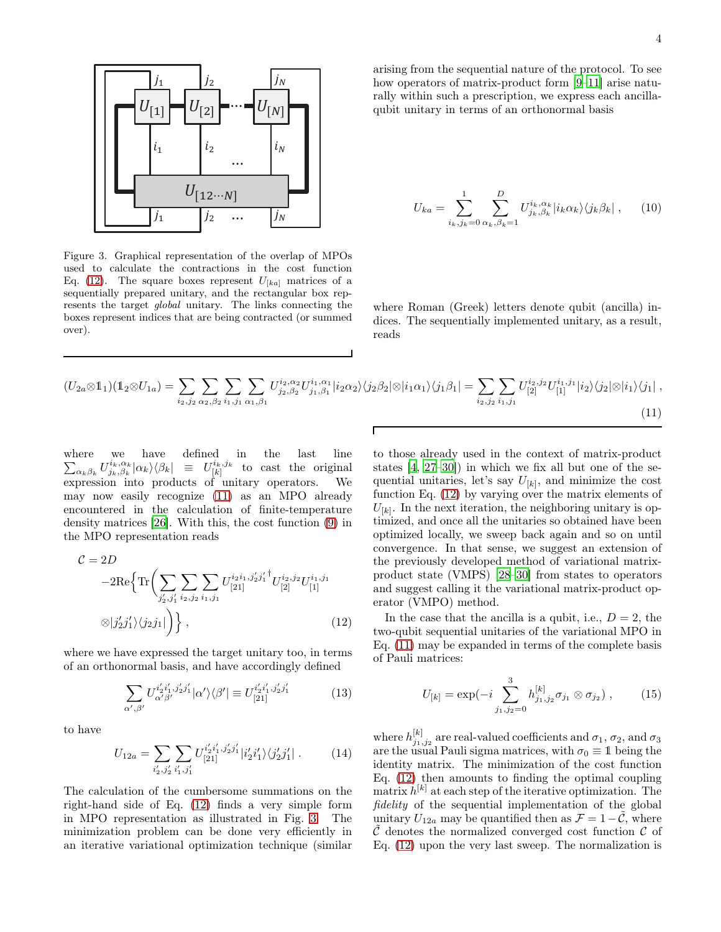

<span id="page-3-2"></span>Figure 3. Graphical representation of the overlap of MPOs used to calculate the contractions in the cost function Eq. [\(12\)](#page-3-0). The square boxes represent  $U_{[ka]}$  matrices of a sequentially prepared unitary, and the rectangular box represents the target global unitary. The links connecting the boxes represent indices that are being contracted (or summed over).

arising from the sequential nature of the protocol. To see how operators of matrix-product form [\[9](#page-5-6)[–11\]](#page-5-7) arise naturally within such a prescription, we express each ancillaqubit unitary in terms of an orthonormal basis

$$
U_{ka} = \sum_{i_k,j_k=0}^{1} \sum_{\alpha_k,\beta_k=1}^{D} U_{j_k,\beta_k}^{i_k,\alpha_k} |i_k \alpha_k\rangle \langle j_k \beta_k | \,, \qquad (10)
$$

where Roman (Greek) letters denote qubit (ancilla) indices. The sequentially implemented unitary, as a result, reads

<span id="page-3-1"></span>
$$
(U_{2a}\otimes\mathbb{1}_{1})(\mathbb{1}_{2}\otimes U_{1a}) = \sum_{i_{2},j_{2}} \sum_{\alpha_{2},\beta_{2}} \sum_{i_{1},j_{1}} \sum_{\alpha_{1},\beta_{1}} U_{j_{2},\beta_{2}}^{i_{2},\alpha_{2}} U_{j_{1},\beta_{1}}^{i_{1},\alpha_{1}} |i_{2}\alpha_{2}\rangle\langle j_{2}\beta_{2}|\otimes|i_{1}\alpha_{1}\rangle\langle j_{1}\beta_{1}| = \sum_{i_{2},j_{2}} \sum_{i_{1},j_{1}} U_{[2]}^{i_{2},j_{2}} U_{[1]}^{i_{1},j_{1}} |i_{2}\rangle\langle j_{2}|\otimes|i_{1}\rangle\langle j_{1}|,
$$
\n(11)

where we have defined in the last line  $\sum_{\alpha_k\beta_k}U^{i_k,\alpha_k}_{j_k,\beta_k}|\alpha_k\rangle\langle\beta_k| \ \ \equiv \ \ U^{i_k,j_k}_{[k]}$  $\begin{bmatrix} i_k, j_k \\ [k] \end{bmatrix}$  to cast the original expression into products of unitary operators. We may now easily recognize [\(11\)](#page-3-1) as an MPO already encountered in the calculation of finite-temperature density matrices [\[26\]](#page-5-20). With this, the cost function [\(9\)](#page-2-1) in the MPO representation reads

<span id="page-3-0"></span>
$$
C = 2D
$$
  
-2Re $\left\{ \text{Tr} \left( \sum_{j'_2, j'_1} \sum_{i_2, j_2} \sum_{i_1, j_1} U_{[21]}^{i_2 i_1, j'_2 j'_1} U_{[2]}^{i_2, j_2} U_{[1]}^{i_1, j_1} \right) \right\}$   

$$
\otimes |j'_2 j'_1 \rangle \langle j_2 j_1 | \right) \},
$$
 (12)

where we have expressed the target unitary too, in terms of an orthonormal basis, and have accordingly defined

$$
\sum_{\alpha',\beta'} U_{\alpha'\beta'}^{i'_2i'_1,j'_2j'_1} |\alpha'\rangle\langle\beta'| \equiv U_{[21]}^{i'_2i'_1,j'_2j'_1} \tag{13}
$$

to have

$$
U_{12a} = \sum_{i'_2, j'_2} \sum_{i'_1, j'_1} U_{[21]}^{i'_2 i'_1, j'_2 j'_1} |i'_2 i'_1\rangle \langle j'_2 j'_1| \,. \tag{14}
$$

The calculation of the cumbersome summations on the right-hand side of Eq. [\(12\)](#page-3-0) finds a very simple form in MPO representation as illustrated in Fig. [3.](#page-3-2) The minimization problem can be done very efficiently in an iterative variational optimization technique (similar

to those already used in the context of matrix-product states [\[4,](#page-5-1) [27](#page-5-21)[–30\]](#page-5-22)) in which we fix all but one of the sequential unitaries, let's say  $U_{[k]}$ , and minimize the cost function Eq. [\(12\)](#page-3-0) by varying over the matrix elements of  $U_{[k]}$ . In the next iteration, the neighboring unitary is optimized, and once all the unitaries so obtained have been optimized locally, we sweep back again and so on until convergence. In that sense, we suggest an extension of the previously developed method of variational matrixproduct state (VMPS) [\[28](#page-5-23)[–30\]](#page-5-22) from states to operators and suggest calling it the variational matrix-product operator (VMPO) method.

In the case that the ancilla is a qubit, i.e.,  $D = 2$ , the two-qubit sequential unitaries of the variational MPO in Eq. [\(11\)](#page-3-1) may be expanded in terms of the complete basis of Pauli matrices:

<span id="page-3-3"></span>
$$
U_{[k]} = \exp(-i \sum_{j_1,j_2=0}^{3} h_{j_1,j_2}^{[k]} \sigma_{j_1} \otimes \sigma_{j_2}), \qquad (15)
$$

where  $h_{j_1,j_2}^{[k]}$  are real-valued coefficients and  $\sigma_1, \sigma_2$ , and  $\sigma_3$ are the usual Pauli sigma matrices, with  $\sigma_0 \equiv 1$  being the identity matrix. The minimization of the cost function Eq. [\(12\)](#page-3-0) then amounts to finding the optimal coupling matrix  $h^{[k]}$  at each step of the iterative optimization. The fidelity of the sequential implementation of the global unitary  $U_{12a}$  may be quantified then as  $\mathcal{F} = 1-\mathcal{C}$ , where  $\mathcal C$  denotes the normalized converged cost function  $\mathcal C$  of Eq. [\(12\)](#page-3-0) upon the very last sweep. The normalization is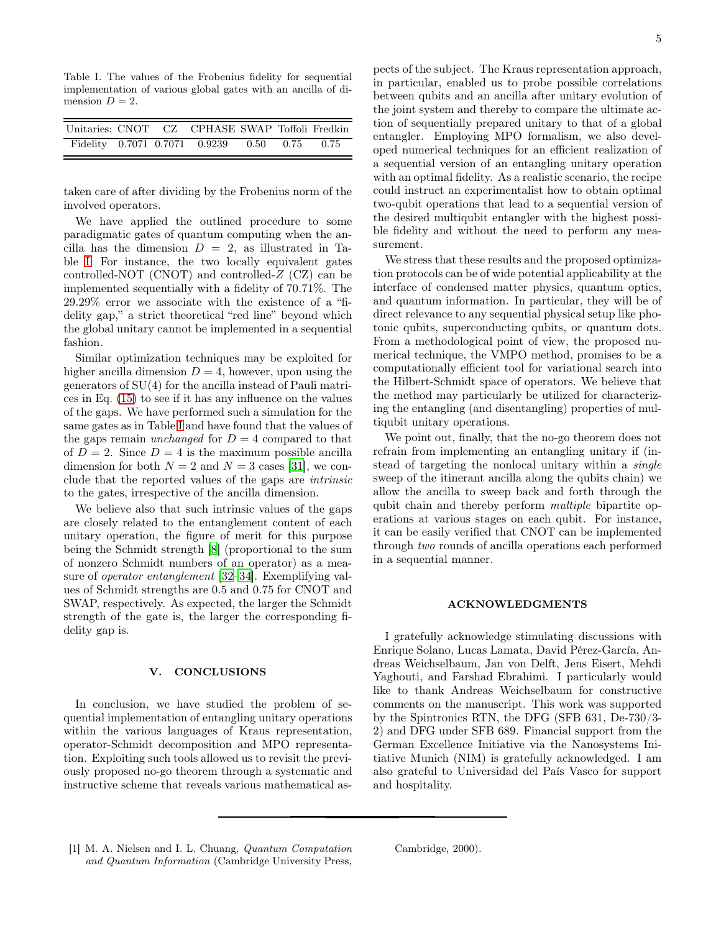<span id="page-4-1"></span>Table I. The values of the Frobenius fidelity for sequential implementation of various global gates with an ancilla of dimension  $D = 2$ .

| Unitaries: CNOT CZ CPHASE SWAP Toffoli Fredkin |  |                                              |  |  |
|------------------------------------------------|--|----------------------------------------------|--|--|
|                                                |  | Fidelity 0.7071 0.7071 0.9239 0.50 0.75 0.75 |  |  |

taken care of after dividing by the Frobenius norm of the involved operators.

We have applied the outlined procedure to some paradigmatic gates of quantum computing when the ancilla has the dimension  $D = 2$ , as illustrated in Table [I:](#page-4-1) For instance, the two locally equivalent gates controlled-NOT (CNOT) and controlled-Z (CZ) can be implemented sequentially with a fidelity of 70.71%. The 29.29% error we associate with the existence of a "fidelity gap," a strict theoretical "red line" beyond which the global unitary cannot be implemented in a sequential fashion.

Similar optimization techniques may be exploited for higher ancilla dimension  $D = 4$ , however, upon using the generators of SU(4) for the ancilla instead of Pauli matrices in Eq. [\(15\)](#page-3-3) to see if it has any influence on the values of the gaps. We have performed such a simulation for the same gates as in Table [I](#page-4-1) and have found that the values of the gaps remain *unchanged* for  $D = 4$  compared to that of  $D = 2$ . Since  $D = 4$  is the maximum possible ancilla dimension for both  $N = 2$  and  $N = 3$  cases [\[31\]](#page-5-24), we conclude that the reported values of the gaps are intrinsic to the gates, irrespective of the ancilla dimension.

We believe also that such intrinsic values of the gaps are closely related to the entanglement content of each unitary operation, the figure of merit for this purpose being the Schmidt strength [\[8](#page-5-5)] (proportional to the sum of nonzero Schmidt numbers of an operator) as a measure of operator entanglement [\[32](#page-5-25)[–34](#page-5-26)]. Exemplifying values of Schmidt strengths are 0.5 and 0.75 for CNOT and SWAP, respectively. As expected, the larger the Schmidt strength of the gate is, the larger the corresponding fidelity gap is.

#### V. CONCLUSIONS

In conclusion, we have studied the problem of sequential implementation of entangling unitary operations within the various languages of Kraus representation, operator-Schmidt decomposition and MPO representation. Exploiting such tools allowed us to revisit the previously proposed no-go theorem through a systematic and instructive scheme that reveals various mathematical as-

pects of the subject. The Kraus representation approach, in particular, enabled us to probe possible correlations between qubits and an ancilla after unitary evolution of the joint system and thereby to compare the ultimate action of sequentially prepared unitary to that of a global entangler. Employing MPO formalism, we also developed numerical techniques for an efficient realization of a sequential version of an entangling unitary operation with an optimal fidelity. As a realistic scenario, the recipe could instruct an experimentalist how to obtain optimal two-qubit operations that lead to a sequential version of the desired multiqubit entangler with the highest possible fidelity and without the need to perform any measurement.

We stress that these results and the proposed optimization protocols can be of wide potential applicability at the interface of condensed matter physics, quantum optics, and quantum information. In particular, they will be of direct relevance to any sequential physical setup like photonic qubits, superconducting qubits, or quantum dots. From a methodological point of view, the proposed numerical technique, the VMPO method, promises to be a computationally efficient tool for variational search into the Hilbert-Schmidt space of operators. We believe that the method may particularly be utilized for characterizing the entangling (and disentangling) properties of multiqubit unitary operations.

We point out, finally, that the no-go theorem does not refrain from implementing an entangling unitary if (instead of targeting the nonlocal unitary within a single sweep of the itinerant ancilla along the qubits chain) we allow the ancilla to sweep back and forth through the qubit chain and thereby perform multiple bipartite operations at various stages on each qubit. For instance, it can be easily verified that CNOT can be implemented through two rounds of ancilla operations each performed in a sequential manner.

#### ACKNOWLEDGMENTS

I gratefully acknowledge stimulating discussions with Enrique Solano, Lucas Lamata, David Pérez-García, Andreas Weichselbaum, Jan von Delft, Jens Eisert, Mehdi Yaghouti, and Farshad Ebrahimi. I particularly would like to thank Andreas Weichselbaum for constructive comments on the manuscript. This work was supported by the Spintronics RTN, the DFG (SFB 631, De-730/3- 2) and DFG under SFB 689. Financial support from the German Excellence Initiative via the Nanosystems Initiative Munich (NIM) is gratefully acknowledged. I am also grateful to Universidad del País Vasco for support and hospitality.

<span id="page-4-0"></span>[1] M. A. Nielsen and I. L. Chuang, Quantum Computation and Quantum Information (Cambridge University Press,

Cambridge, 2000).